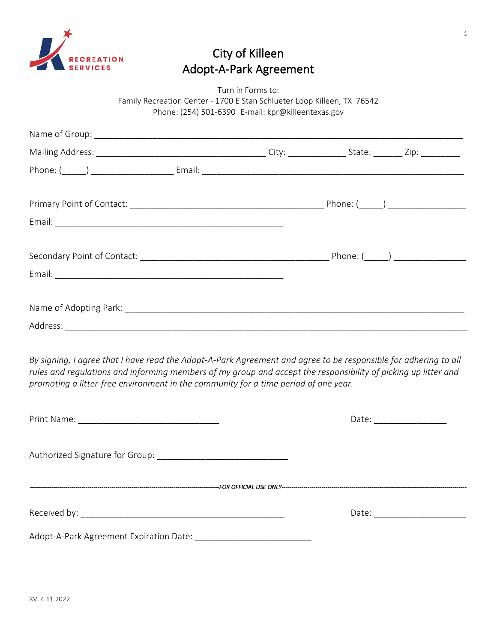

# City of Killeen Adopt-A-Park Agreement

Turn in Forms to: Family Recreation Center - 1700 E Stan Schlueter Loop Killeen, TX 76542 Phone: (254) 501-6390 E-mail: kpr@killeentexas.gov

| By signing, I agree that I have read the Adopt-A-Park Agreement and agree to be responsible for adhering to all<br>rules and regulations and informing members of my group and accept the responsibility of picking up litter and<br>promoting a litter-free environment in the community for a time period of one year. |  |  |
|--------------------------------------------------------------------------------------------------------------------------------------------------------------------------------------------------------------------------------------------------------------------------------------------------------------------------|--|--|
|                                                                                                                                                                                                                                                                                                                          |  |  |
|                                                                                                                                                                                                                                                                                                                          |  |  |

Authorized Signature for Group:

*-----------------------------------------------------------------------------------------------FOR OFFICIAL USE ONLY---------------------------------------------------------------------------------------------* 

Received by: \_\_\_\_\_\_\_\_\_\_\_\_\_\_\_\_\_\_\_\_\_\_\_\_\_\_\_\_\_\_\_\_\_\_\_\_\_\_\_\_\_\_ Date: \_\_\_\_\_\_\_\_\_\_\_\_\_\_\_\_\_\_\_

Adopt-A-Park Agreement Expiration Date: \_\_\_\_\_\_\_\_\_\_\_\_\_\_\_\_\_\_\_\_\_\_\_\_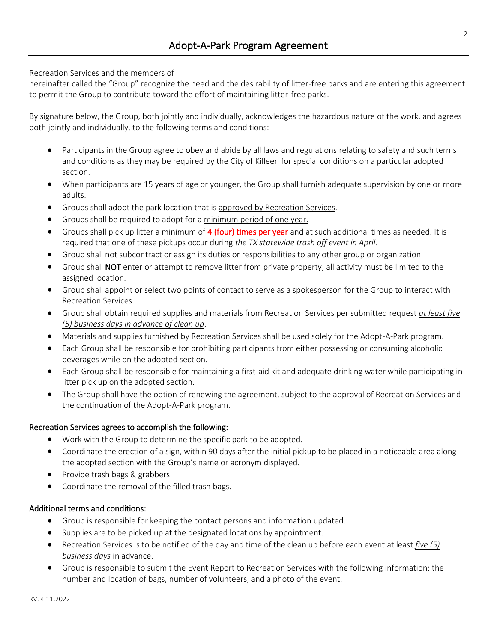Recreation Services and the members of

hereinafter called the "Group" recognize the need and the desirability of litter-free parks and are entering this agreement to permit the Group to contribute toward the effort of maintaining litter-free parks.

By signature below, the Group, both jointly and individually, acknowledges the hazardous nature of the work, and agrees both jointly and individually, to the following terms and conditions:

- Participants in the Group agree to obey and abide by all laws and regulations relating to safety and such terms and conditions as they may be required by the City of Killeen for special conditions on a particular adopted section.
- When participants are 15 years of age or younger, the Group shall furnish adequate supervision by one or more adults.
- Groups shall adopt the park location that is approved by Recreation Services.
- Groups shall be required to adopt for a minimum period of one year.
- Groups shall pick up litter a minimum of 4 (four) times per year and at such additional times as needed. It is required that one of these pickups occur during *the TX statewide trash off event in April*.
- Group shall not subcontract or assign its duties or responsibilities to any other group or organization.
- Group shall **NOT** enter or attempt to remove litter from private property; all activity must be limited to the assigned location.
- Group shall appoint or select two points of contact to serve as a spokesperson for the Group to interact with Recreation Services.
- Group shall obtain required supplies and materials from Recreation Services per submitted request *at least five (5) business days in advance of clean up*.
- Materials and supplies furnished by Recreation Services shall be used solely for the Adopt-A-Park program.
- Each Group shall be responsible for prohibiting participants from either possessing or consuming alcoholic beverages while on the adopted section.
- Each Group shall be responsible for maintaining a first-aid kit and adequate drinking water while participating in litter pick up on the adopted section.
- The Group shall have the option of renewing the agreement, subject to the approval of Recreation Services and the continuation of the Adopt-A-Park program.

### Recreation Services agrees to accomplish the following:

- Work with the Group to determine the specific park to be adopted.
- Coordinate the erection of a sign, within 90 days after the initial pickup to be placed in a noticeable area along the adopted section with the Group's name or acronym displayed.
- Provide trash bags & grabbers.
- Coordinate the removal of the filled trash bags.

### Additional terms and conditions:

- Group is responsible for keeping the contact persons and information updated.
- Supplies are to be picked up at the designated locations by appointment.
- Recreation Services is to be notified of the day and time of the clean up before each event at least *five (5) business days* in advance.
- Group is responsible to submit the Event Report to Recreation Services with the following information: the number and location of bags, number of volunteers, and a photo of the event.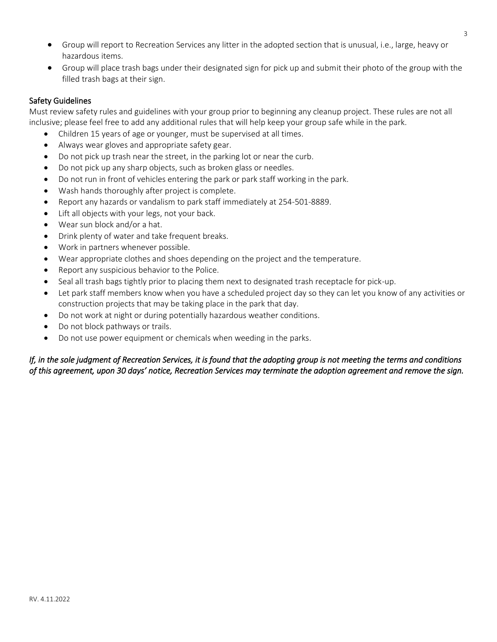- Group will report to Recreation Services any litter in the adopted section that is unusual, i.e., large, heavy or hazardous items.
- Group will place trash bags under their designated sign for pick up and submit their photo of the group with the filled trash bags at their sign.

### Safety Guidelines

Must review safety rules and guidelines with your group prior to beginning any cleanup project. These rules are not all inclusive; please feel free to add any additional rules that will help keep your group safe while in the park.

- Children 15 years of age or younger, must be supervised at all times.
- Always wear gloves and appropriate safety gear.
- Do not pick up trash near the street, in the parking lot or near the curb.
- Do not pick up any sharp objects, such as broken glass or needles.
- Do not run in front of vehicles entering the park or park staff working in the park.
- Wash hands thoroughly after project is complete.
- Report any hazards or vandalism to park staff immediately at 254-501-8889.
- Lift all objects with your legs, not your back.
- Wear sun block and/or a hat.
- Drink plenty of water and take frequent breaks.
- Work in partners whenever possible.
- Wear appropriate clothes and shoes depending on the project and the temperature.
- Report any suspicious behavior to the Police.
- Seal all trash bags tightly prior to placing them next to designated trash receptacle for pick-up.
- Let park staff members know when you have a scheduled project day so they can let you know of any activities or construction projects that may be taking place in the park that day.
- Do not work at night or during potentially hazardous weather conditions.
- Do not block pathways or trails.
- Do not use power equipment or chemicals when weeding in the parks.

## *If, in the sole judgment of Recreation Services, it is found that the adopting group is not meeting the terms and conditions of this agreement, upon 30 days' notice, Recreation Services may terminate the adoption agreement and remove the sign.*